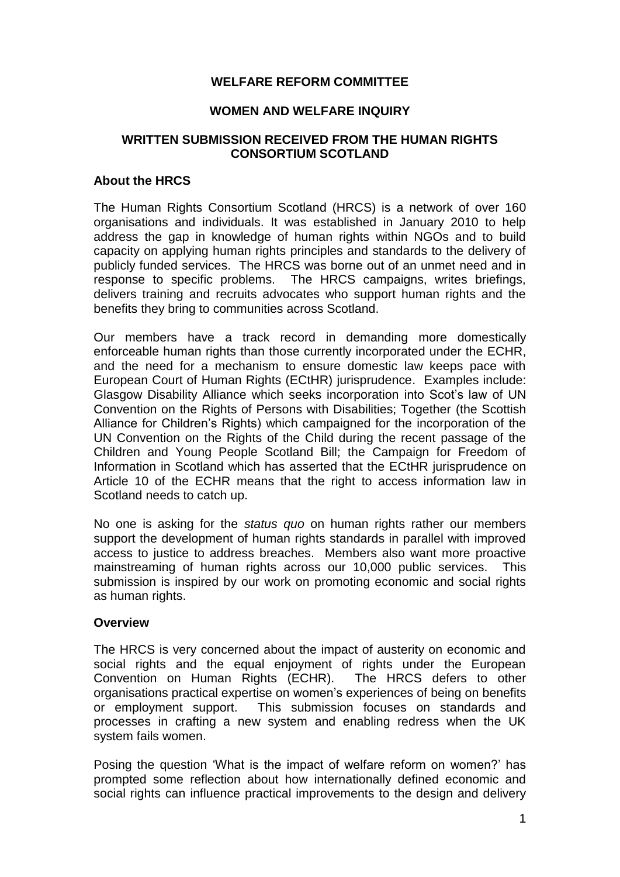## **WELFARE REFORM COMMITTEE**

### **WOMEN AND WELFARE INQUIRY**

## **WRITTEN SUBMISSION RECEIVED FROM THE HUMAN RIGHTS CONSORTIUM SCOTLAND**

# **About the HRCS**

The Human Rights Consortium Scotland (HRCS) is a network of over 160 organisations and individuals. It was established in January 2010 to help address the gap in knowledge of human rights within NGOs and to build capacity on applying human rights principles and standards to the delivery of publicly funded services. The HRCS was borne out of an unmet need and in response to specific problems. The HRCS campaigns, writes briefings, delivers training and recruits advocates who support human rights and the benefits they bring to communities across Scotland.

Our members have a track record in demanding more domestically enforceable human rights than those currently incorporated under the ECHR, and the need for a mechanism to ensure domestic law keeps pace with European Court of Human Rights (ECtHR) jurisprudence. Examples include: Glasgow Disability Alliance which seeks incorporation into Scot's law of UN Convention on the Rights of Persons with Disabilities; Together (the Scottish Alliance for Children's Rights) which campaigned for the incorporation of the UN Convention on the Rights of the Child during the recent passage of the Children and Young People Scotland Bill; the Campaign for Freedom of Information in Scotland which has asserted that the ECtHR jurisprudence on Article 10 of the ECHR means that the right to access information law in Scotland needs to catch up.

No one is asking for the *status quo* on human rights rather our members support the development of human rights standards in parallel with improved access to justice to address breaches. Members also want more proactive mainstreaming of human rights across our 10,000 public services. This submission is inspired by our work on promoting economic and social rights as human rights.

#### **Overview**

The HRCS is very concerned about the impact of austerity on economic and social rights and the equal enjoyment of rights under the European Convention on Human Rights (ECHR). The HRCS defers to other organisations practical expertise on women's experiences of being on benefits or employment support. This submission focuses on standards and processes in crafting a new system and enabling redress when the UK system fails women.

Posing the question 'What is the impact of welfare reform on women?' has prompted some reflection about how internationally defined economic and social rights can influence practical improvements to the design and delivery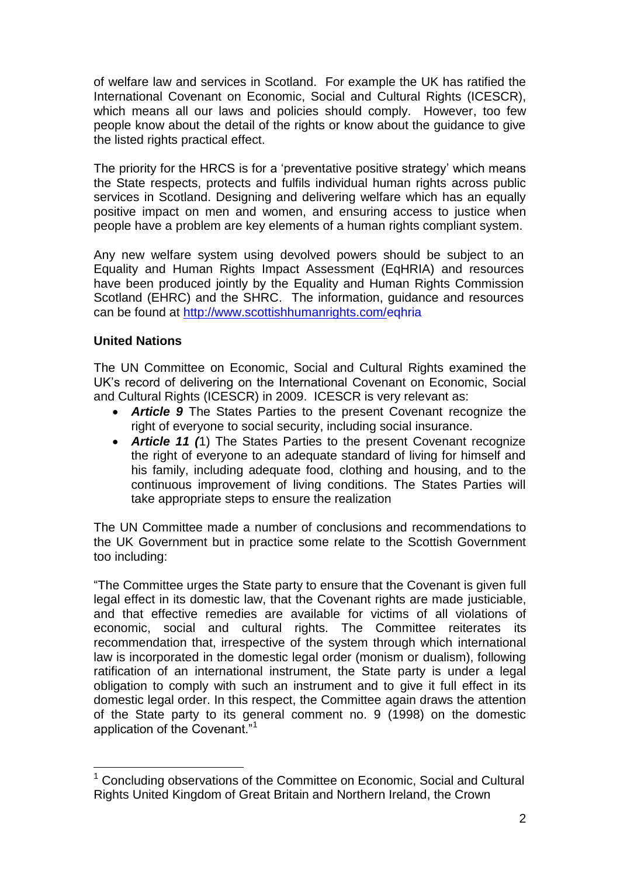of welfare law and services in Scotland. For example the UK has ratified the International Covenant on Economic, Social and Cultural Rights (ICESCR), which means all our laws and policies should comply. However, too few people know about the detail of the rights or know about the guidance to give the listed rights practical effect.

The priority for the HRCS is for a 'preventative positive strategy' which means the State respects, protects and fulfils individual human rights across public services in Scotland. Designing and delivering welfare which has an equally positive impact on men and women, and ensuring access to justice when people have a problem are key elements of a human rights compliant system.

Any new welfare system using devolved powers should be subject to an Equality and Human Rights Impact Assessment (EqHRIA) and resources have been produced jointly by the Equality and Human Rights Commission Scotland (EHRC) and the SHRC. The information, guidance and resources can be found at <http://www.scottishhumanrights.com/eqhria>

## **United Nations**

1

The UN Committee on Economic, Social and Cultural Rights examined the UK's record of delivering on the International Covenant on Economic, Social and Cultural Rights (ICESCR) in 2009. ICESCR is very relevant as:

- *Article 9* The States Parties to the present Covenant recognize the right of everyone to social security, including social insurance.
- *Article 11 (*1) The States Parties to the present Covenant recognize the right of everyone to an adequate standard of living for himself and his family, including adequate food, clothing and housing, and to the continuous improvement of living conditions. The States Parties will take appropriate steps to ensure the realization

The UN Committee made a number of conclusions and recommendations to the UK Government but in practice some relate to the Scottish Government too including:

"The Committee urges the State party to ensure that the Covenant is given full legal effect in its domestic law, that the Covenant rights are made justiciable, and that effective remedies are available for victims of all violations of economic, social and cultural rights. The Committee reiterates its recommendation that, irrespective of the system through which international law is incorporated in the domestic legal order (monism or dualism), following ratification of an international instrument, the State party is under a legal obligation to comply with such an instrument and to give it full effect in its domestic legal order. In this respect, the Committee again draws the attention of the State party to its general comment no. 9 (1998) on the domestic application of the Covenant."<sup>1</sup>

<sup>&</sup>lt;sup>1</sup> Concluding observations of the Committee on Economic, Social and Cultural Rights United Kingdom of Great Britain and Northern Ireland, the Crown